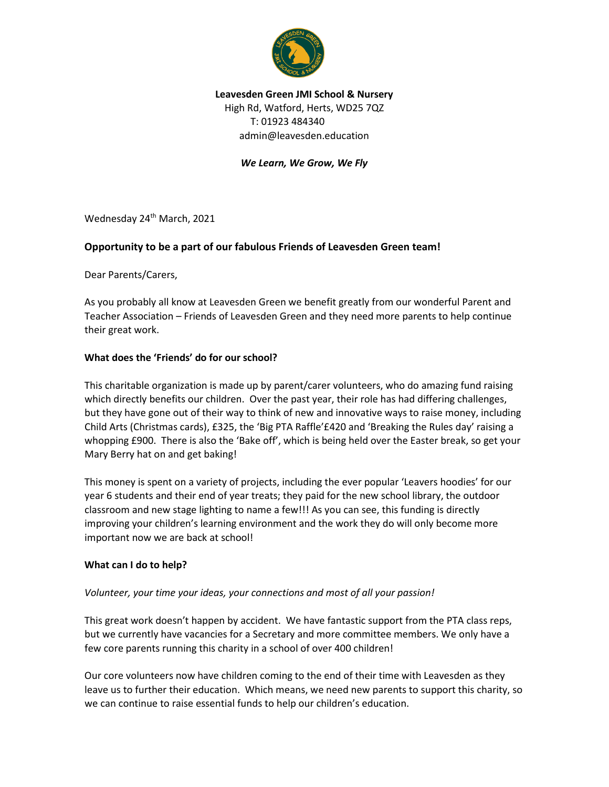

# **Leavesden Green JMI School & Nursery** High Rd, Watford, Herts, WD25 7QZ T: 01923 484340 admin@leavesden.education

## *We Learn, We Grow, We Fly*

Wednesday 24<sup>th</sup> March, 2021

## **Opportunity to be a part of our fabulous Friends of Leavesden Green team!**

Dear Parents/Carers,

As you probably all know at Leavesden Green we benefit greatly from our wonderful Parent and Teacher Association – Friends of Leavesden Green and they need more parents to help continue their great work.

### **What does the 'Friends' do for our school?**

This charitable organization is made up by parent/carer volunteers, who do amazing fund raising which directly benefits our children. Over the past year, their role has had differing challenges, but they have gone out of their way to think of new and innovative ways to raise money, including Child Arts (Christmas cards), £325, the 'Big PTA Raffle'£420 and 'Breaking the Rules day' raising a whopping £900. There is also the 'Bake off', which is being held over the Easter break, so get your Mary Berry hat on and get baking!

This money is spent on a variety of projects, including the ever popular 'Leavers hoodies' for our year 6 students and their end of year treats; they paid for the new school library, the outdoor classroom and new stage lighting to name a few!!! As you can see, this funding is directly improving your children's learning environment and the work they do will only become more important now we are back at school!

#### **What can I do to help?**

### *Volunteer, your time your ideas, your connections and most of all your passion!*

This great work doesn't happen by accident. We have fantastic support from the PTA class reps, but we currently have vacancies for a Secretary and more committee members. We only have a few core parents running this charity in a school of over 400 children!

Our core volunteers now have children coming to the end of their time with Leavesden as they leave us to further their education. Which means, we need new parents to support this charity, so we can continue to raise essential funds to help our children's education.